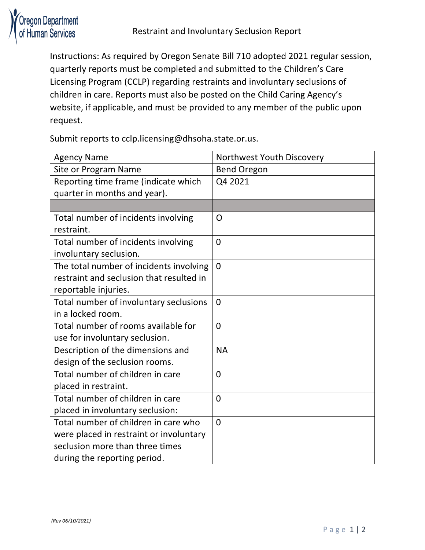

Instructions: As required by Oregon Senate Bill 710 adopted 2021 regular session, quarterly reports must be completed and submitted to the Children's Care Licensing Program (CCLP) regarding restraints and involuntary seclusions of children in care. Reports must also be posted on the Child Caring Agency's website, if applicable, and must be provided to any member of the public upon request.

Submit reports to cclp.licensing@dhsoha.state.or.us.

| <b>Agency Name</b>                       | Northwest Youth Discovery |
|------------------------------------------|---------------------------|
| Site or Program Name                     | <b>Bend Oregon</b>        |
| Reporting time frame (indicate which     | Q4 2021                   |
| quarter in months and year).             |                           |
|                                          |                           |
| Total number of incidents involving      | O                         |
| restraint.                               |                           |
| Total number of incidents involving      | $\overline{0}$            |
| involuntary seclusion.                   |                           |
| The total number of incidents involving  | $\overline{0}$            |
| restraint and seclusion that resulted in |                           |
| reportable injuries.                     |                           |
| Total number of involuntary seclusions   | $\overline{0}$            |
| in a locked room.                        |                           |
| Total number of rooms available for      | $\overline{0}$            |
| use for involuntary seclusion.           |                           |
| Description of the dimensions and        | <b>NA</b>                 |
| design of the seclusion rooms.           |                           |
| Total number of children in care         | $\overline{0}$            |
| placed in restraint.                     |                           |
| Total number of children in care         | $\overline{0}$            |
| placed in involuntary seclusion:         |                           |
| Total number of children in care who     | $\overline{0}$            |
| were placed in restraint or involuntary  |                           |
| seclusion more than three times          |                           |
| during the reporting period.             |                           |